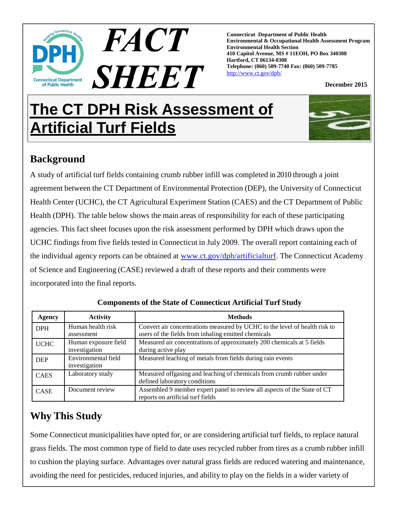

**Connecticut Department of Public Health Environmental & Occupational Health Assessment Program Environmental Health Section 410 Capitol Avenue, MS # 11EOH, PO Box 340308 Hartford, CT 06134-0308 Telephone: (860) 509-7740 Fax: (860) 509-7785** http://www.ct.gov/dph/

**December 2015** 

# **The CT DPH Risk Assessment of Artificial Turf Fields**



## **Background**

A study of artificial turf fields containing crumb rubber infill was completed in 2010 through a joint agreement between the CT Department of Environmental Protection (DEP), the University of Connecticut Health Center (UCHC), the CT Agricultural Experiment Station (CAES) and the CT Department of Public Health (DPH). The table below shows the main areas of responsibility for each of these participating agencies. This fact sheet focuses upon the risk assessment performed by DPH which draws upon the UCHC findings from five fields tested in Connecticut in July 2009. The overall report containing each of the individual agency reports can be obtained at www.ct.gov/dph/artificialturf. The Connecticut Academy of Science and Engineering (CASE) reviewed a draft of these reports and their comments were incorporated into the final reports.

| Agency      | <b>Activity</b>                       | <b>Methods</b>                                                                                                                    |  |
|-------------|---------------------------------------|-----------------------------------------------------------------------------------------------------------------------------------|--|
| <b>DPH</b>  | Human health risk<br>assessment       | Convert air concentrations measured by UCHC to the level of health risk to<br>users of the fields from inhaling emitted chemicals |  |
| <b>UCHC</b> | Human exposure field<br>investigation | Measured air concentrations of approximately 200 chemicals at 5 fields<br>during active play                                      |  |
| <b>DEP</b>  | Environmental field<br>investigation  | Measured leaching of metals from fields during rain events                                                                        |  |
| <b>CAES</b> | Laboratory study                      | Measured offgasing and leaching of chemicals from crumb rubber under<br>defined laboratory conditions                             |  |
| <b>CASE</b> | Document review                       | Assembled 9 member expert panel to review all aspects of the State of CT<br>reports on artificial turf fields                     |  |

**Components of the State of Connecticut Artificial Turf Study**

### **Why This Study**

Some Connecticut municipalities have opted for, or are considering artificial turf fields, to replace natural grass fields. The most common type of field to date uses recycled rubber from tires as a crumb rubber infill to cushion the playing surface. Advantages over natural grass fields are reduced watering and maintenance, avoiding the need for pesticides, reduced injuries, and ability to play on the fields in a wider variety of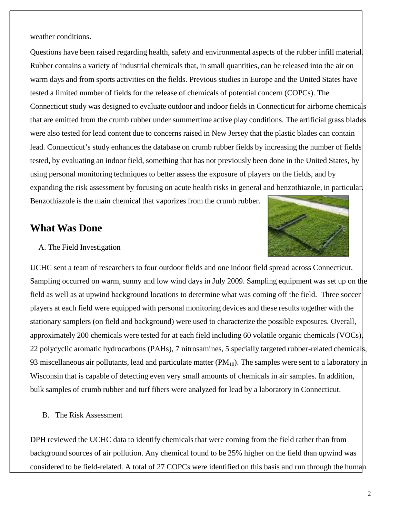weather conditions.

Questions have been raised regarding health, safety and environmental aspects of the rubber infill material. Rubber contains a variety of industrial chemicals that, in small quantities, can be released into the air on warm days and from sports activities on the fields. Previous studies in Europe and the United States have tested a limited number of fields for the release of chemicals of potential concern (COPCs). The Connecticut study was designed to evaluate outdoor and indoor fields in Connecticut for airborne chemicals that are emitted from the crumb rubber under summertime active play conditions. The artificial grass blades were also tested for lead content due to concerns raised in New Jersey that the plastic blades can contain lead. Connecticut's study enhances the database on crumb rubber fields by increasing the number of fields tested, by evaluating an indoor field, something that has not previously been done in the United States, by using personal monitoring techniques to better assess the exposure of players on the fields, and by expanding the risk assessment by focusing on acute health risks in general and benzothiazole, in particular. Benzothiazole is the main chemical that vaporizes from the crumb rubber.

### **What Was Done**



#### A. The Field Investigation

UCHC sent a team of researchers to four outdoor fields and one indoor field spread across Connecticut. Sampling occurred on warm, sunny and low wind days in July 2009. Sampling equipment was set up on the field as well as at upwind background locations to determine what was coming off the field. Three soccer players at each field were equipped with personal monitoring devices and these results together with the stationary samplers (on field and background) were used to characterize the possible exposures. Overall, approximately 200 chemicals were tested for at each field including 60 volatile organic chemicals (VOCs), 22 polycyclic aromatic hydrocarbons (PAHs), 7 nitrosamines, 5 specially targeted rubber-related chemicals, 93 miscellaneous air pollutants, lead and particulate matter  $(PM_{10})$ . The samples were sent to a laboratory in Wisconsin that is capable of detecting even very small amounts of chemicals in air samples. In addition, bulk samples of crumb rubber and turf fibers were analyzed for lead by a laboratory in Connecticut.

#### B. The Risk Assessment

DPH reviewed the UCHC data to identify chemicals that were coming from the field rather than from background sources of air pollution. Any chemical found to be 25% higher on the field than upwind was considered to be field-related. A total of 27 COPCs were identified on this basis and run through the human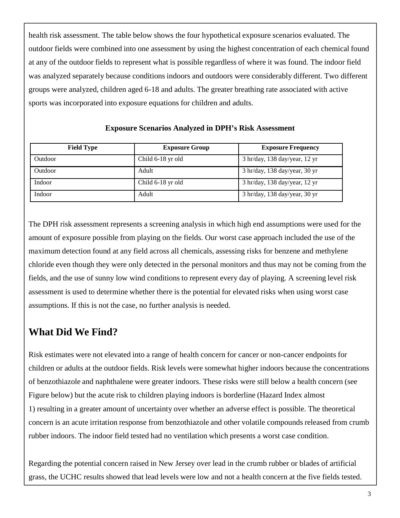health risk assessment. The table below shows the four hypothetical exposure scenarios evaluated. The outdoor fields were combined into one assessment by using the highest concentration of each chemical found at any of the outdoor fields to represent what is possible regardless of where it was found. The indoor field was analyzed separately because conditions indoors and outdoors were considerably different. Two different groups were analyzed, children aged 6-18 and adults. The greater breathing rate associated with active sports was incorporated into exposure equations for children and adults.

| <b>Field Type</b> | <b>Exposure Group</b> | <b>Exposure Frequency</b>     |
|-------------------|-----------------------|-------------------------------|
| Outdoor           | Child 6-18 yr old     | 3 hr/day, 138 day/year, 12 yr |
| Outdoor           | Adult                 | 3 hr/day, 138 day/year, 30 yr |
| Indoor            | Child 6-18 yr old     | 3 hr/day, 138 day/year, 12 yr |
| Indoor            | Adult                 | 3 hr/day, 138 day/year, 30 yr |

#### **Exposure Scenarios Analyzed in DPH's Risk Assessment**

The DPH risk assessment represents a screening analysis in which high end assumptions were used for the amount of exposure possible from playing on the fields. Our worst case approach included the use of the maximum detection found at any field across all chemicals, assessing risks for benzene and methylene chloride even though they were only detected in the personal monitors and thus may not be coming from the fields, and the use of sunny low wind conditions to represent every day of playing. A screening level risk assessment is used to determine whether there is the potential for elevated risks when using worst case assumptions. If this is not the case, no further analysis is needed.

### **What Did We Find?**

Risk estimates were not elevated into a range of health concern for cancer or non-cancer endpoints for children or adults at the outdoor fields. Risk levels were somewhat higher indoors because the concentrations of benzothiazole and naphthalene were greater indoors. These risks were still below a health concern (see Figure below) but the acute risk to children playing indoors is borderline (Hazard Index almost 1) resulting in a greater amount of uncertainty over whether an adverse effect is possible. The theoretical concern is an acute irritation response from benzothiazole and other volatile compounds released from crumb rubber indoors. The indoor field tested had no ventilation which presents a worst case condition.

Regarding the potential concern raised in New Jersey over lead in the crumb rubber or blades of artificial grass, the UCHC results showed that lead levels were low and not a health concern at the five fields tested.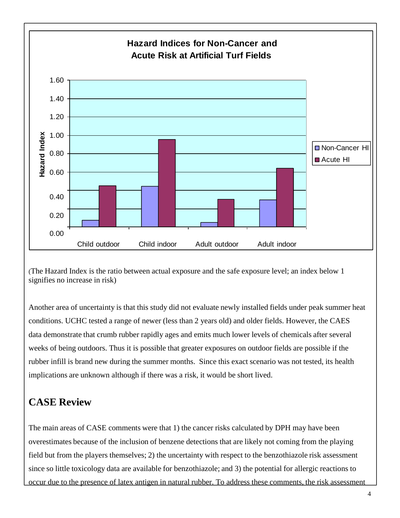

<sup>(</sup>The Hazard Index is the ratio between actual exposure and the safe exposure level; an index below 1 signifies no increase in risk)

Another area of uncertainty is that this study did not evaluate newly installed fields under peak summer heat conditions. UCHC tested a range of newer (less than 2 years old) and older fields. However, the CAES data demonstrate that crumb rubber rapidly ages and emits much lower levels of chemicals after several weeks of being outdoors. Thus it is possible that greater exposures on outdoor fields are possible if the rubber infill is brand new during the summer months. Since this exact scenario was not tested, its health implications are unknown although if there was a risk, it would be short lived.

## **CASE Review**

The main areas of CASE comments were that 1) the cancer risks calculated by DPH may have been overestimates because of the inclusion of benzene detections that are likely not coming from the playing field but from the players themselves; 2) the uncertainty with respect to the benzothiazole risk assessment since so little toxicology data are available for benzothiazole; and 3) the potential for allergic reactions to occur due to the presence of latex antigen in natural rubber. To address these comments, the risk assessment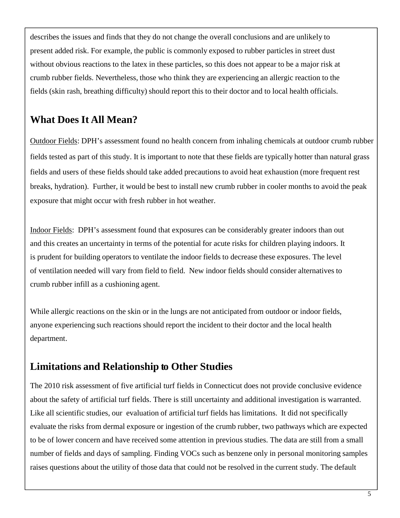describes the issues and finds that they do not change the overall conclusions and are unlikely to present added risk. For example, the public is commonly exposed to rubber particles in street dust without obvious reactions to the latex in these particles, so this does not appear to be a major risk at crumb rubber fields. Nevertheless, those who think they are experiencing an allergic reaction to the fields (skin rash, breathing difficulty) should report this to their doctor and to local health officials.

### **What Does It All Mean?**

Outdoor Fields: DPH's assessment found no health concern from inhaling chemicals at outdoor crumb rubber fields tested as part of this study. It is important to note that these fields are typically hotter than natural grass fields and users of these fields should take added precautions to avoid heat exhaustion (more frequent rest breaks, hydration). Further, it would be best to install new crumb rubber in cooler months to avoid the peak exposure that might occur with fresh rubber in hot weather.

Indoor Fields: DPH's assessment found that exposures can be considerably greater indoors than out and this creates an uncertainty in terms of the potential for acute risks for children playing indoors. It is prudent for building operators to ventilate the indoor fields to decrease these exposures. The level of ventilation needed will vary from field to field. New indoor fields should consider alternatives to crumb rubber infill as a cushioning agent.

While allergic reactions on the skin or in the lungs are not anticipated from outdoor or indoor fields, anyone experiencing such reactions should report the incident to their doctor and the local health department.

### **Limitations and Relationship to Other Studies**

The 2010 risk assessment of five artificial turf fields in Connecticut does not provide conclusive evidence about the safety of artificial turf fields. There is still uncertainty and additional investigation is warranted. Like all scientific studies, our evaluation of artificial turf fields has limitations. It did not specifically evaluate the risks from dermal exposure or ingestion of the crumb rubber, two pathways which are expected to be of lower concern and have received some attention in previous studies. The data are still from a small number of fields and days of sampling. Finding VOCs such as benzene only in personal monitoring samples raises questions about the utility of those data that could not be resolved in the current study. The default